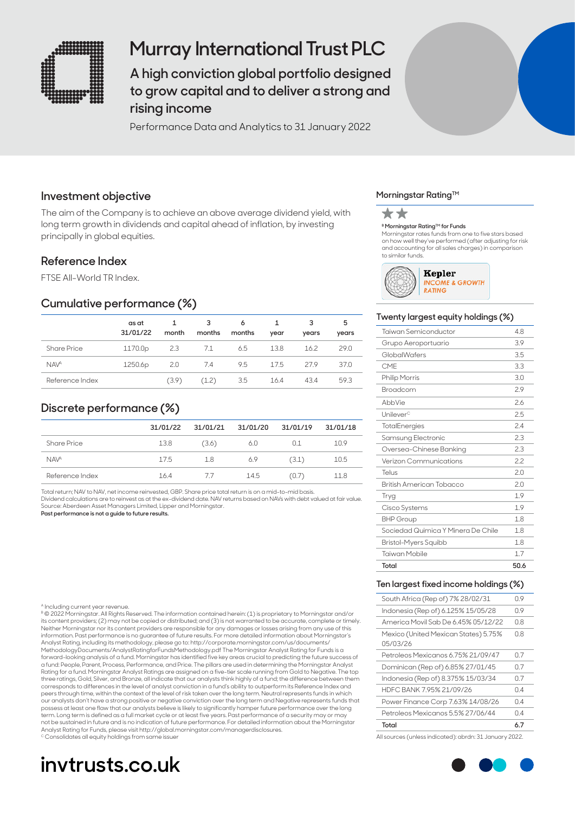

## **Murray International Trust PLC**

**A high conviction global portfolio designed to grow capital and to deliver a strong and rising income** 

Performance Data and Analytics to 31 January 2022

### **Investment objective**

The aim of the Company is to achieve an above average dividend yield, with long term growth in dividends and capital ahead of inflation, by investing principally in global equities.

### **Reference Index**

FTSE All-World TR Index.

### **Cumulative performance (%)**

|                    | as at<br>31/01/22 | month | 3<br>months | 6<br>months | year | 3<br>years | 5<br>years |
|--------------------|-------------------|-------|-------------|-------------|------|------------|------------|
| <b>Share Price</b> | 1170.0p           | 2.3   | 7.1         | 6.5         | 13.8 | 16.2       | 29.0       |
| <b>NAVA</b>        | 1250.6p           | 2.0   | 7.4         | 9.5         | 17.5 | 279        | 37.0       |
| Reference Index    |                   | (3.9) | (1.2)       | 3.5         | 16.4 | 43.4       | 59.3       |

## **Discrete performance (%)**

|                        | 31/01/22 | 31/01/21 | 31/01/20 | 31/01/19 | 31/01/18 |
|------------------------|----------|----------|----------|----------|----------|
| <b>Share Price</b>     | 13.8     | (3.6)    | 6.0      | 0.1      | 10.9     |
| <b>NAV<sup>A</sup></b> | 17.5     | 1.8      | 6.9      | (3.1)    | 10.5     |
| Reference Index        | 16.4     | -77      | 14.5     | (U, 7)   | 11.8     |

Total return; NAV to NAV, net income reinvested, GBP. Share price total return is on a mid-to-mid basis. Dividend calculations are to reinvest as at the ex-dividend date. NAV returns based on NAVs with debt valued at fair value. Source: Aberdeen Asset Managers Limited, Lipper and Morningstar.

**Past performance is not a guide to future results.**

#### ncluding current year revenue

B © 2022 Morningstar. All Rights Reserved. The information contained herein: (1) is proprietary to Morningstar and/or its content providers; (2) may not be copied or distributed; and (3) is not warranted to be accurate, complete or timely. Neither Morningstar nor its content providers are responsible for any damages or losses arising from any use of this information. Past performance is no guarantee of future results. For more detailed information about Morningstar's Analyst Rating, including its methodology, please go to: http://corporate.morningstar.com/us/documents/<br>MethodologyDocuments/AnalystRatingforFundsMethodology.pdf The Morningstar Analyst Rating for Funds is a forward-looking analysis of a fund. Morningstar has identified five key areas crucial to predicting the future success of<br>a fund: People, Parent, Process, Performance, and Price. The pillars are used in determining the Mor Rating for a fund. Morningstar Analyst Ratings are assigned on a five-tier scale running from Gold to Negative. The top three ratings, Gold, Silver, and Bronze, all indicate that our analysts think highly of a fund; the difference between them corresponds to differences in the level of analyst conviction in a fund's ability to outperform its Reference Index and peers through time, within the context of the level of risk taken over the long term. Neutral represents funds in which our analysts don't have a strong positive or negative conviction over the long term and Negative represents funds that<br>possess at least one flaw that our analysts believe is likely to significantly hamper future performanc term. Long term is defined as a full market cycle or at least five years. Past performance of a security may or may not be sustained in future and is no indication of future performance. For detailed information about the Morningstar Analyst Rating for Funds, please visit http://global.morningstar.com/managerdisclosures. Consolidates all equity holdings from same issue

## **invtrusts.co.uk**

### **Morningstar Rating™**



#### **B Morningstar Rating™ for Funds**

Morningstar rates funds from one to five stars based on how well they've performed (after adjusting for risk and accounting for all sales charges) in comparison to similar funds.



### **Twenty largest equity holdings (%)**

| Total                              | 50.6 |
|------------------------------------|------|
| Taiwan Mobile                      | 1.7  |
| Bristol-Myers Squibb               | 1.8  |
| Sociedad Quimica Y Minera De Chile | 1.8  |
| <b>BHP Group</b>                   | 1.8  |
| Cisco Systems                      | 1.9  |
| Tryg                               | 19   |
| British American Tobacco           | 20   |
| Telus                              | 20   |
| Verizon Communications             | 22   |
| Oversea-Chinese Banking            | 2.3  |
| Samsung Electronic                 | 2.3  |
| <b>TotalEnergies</b>               | 24   |
| Unilever <sup>c</sup>              | 2.5  |
| AbbVie                             | 2.6  |
| Broadcom                           | 2.9  |
| <b>Philip Morris</b>               | 3.0  |
| CMF                                | 3.3  |
| GlobalWafers                       | 3.5  |
| Grupo Aeroportuario                | 3.9  |
| Taiwan Semiconductor               | 4.8  |

### **Ten largest fixed income holdings (%)**

| 6.7 |
|-----|
| 04  |
| N 4 |
| 04  |
| 0.7 |
| 07  |
| 07  |
| 0.8 |
| 0.8 |
| 0.9 |
| 0.9 |
|     |

All sources (unless indicated): abrdn: 31 January 2022.

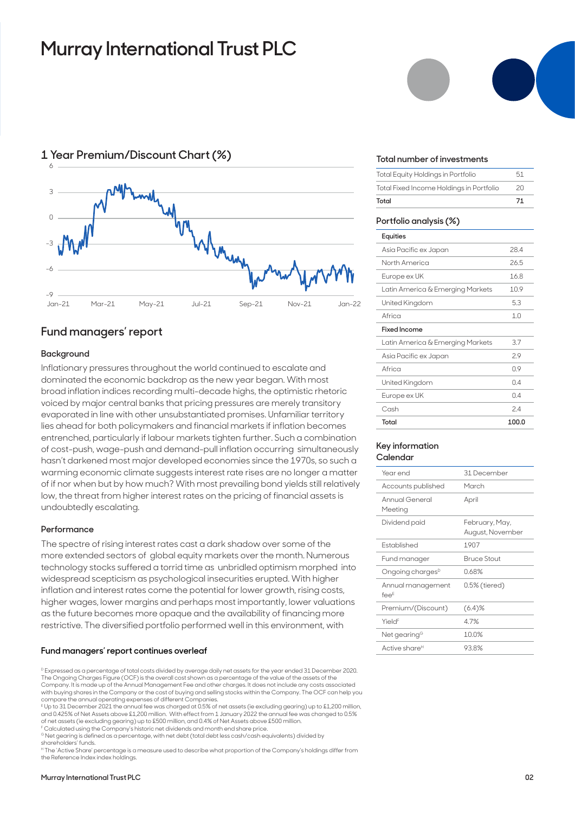## **Murray International Trust PLC**



## **Fund managers' report**

### **Background**

Inflationary pressures throughout the world continued to escalate and dominated the economic backdrop as the new year began. With most broad inflation indices recording multi-decade highs, the optimistic rhetoric voiced by major central banks that pricing pressures are merely transitory evaporated in line with other unsubstantiated promises. Unfamiliar territory lies ahead for both policymakers and financial markets if inflation becomes entrenched, particularly if labour markets tighten further. Such a combination of cost-push, wage-push and demand-pull inflation occurring simultaneously hasn't darkened most major developed economies since the 1970s, so such a warming economic climate suggests interest rate rises are no longer a matter of if nor when but by how much? With most prevailing bond yields still relatively low, the threat from higher interest rates on the pricing of financial assets is undoubtedly escalating.

### **Performance**

The spectre of rising interest rates cast a dark shadow over some of the more extended sectors of global equity markets over the month. Numerous technology stocks suffered a torrid time as unbridled optimism morphed into widespread scepticism as psychological insecurities erupted. With higher inflation and interest rates come the potential for lower growth, rising costs, higher wages, lower margins and perhaps most importantly, lower valuations as the future becomes more opaque and the availability of financing more restrictive. The diversified portfolio performed well in this environment, with

### **Fund managers' report continues overleaf**

D Expressed as a percentage of total costs divided by average daily net assets for the year ended 31 December 2020. The Ongoing Charges Figure (OCF) is the overall cost shown as a percentage of the value of the assets of the Company. It is made up of the Annual Management Fee and other charges. It does not include any costs associated with buying shares in the Company or the cost of buying and selling stocks within the Company. The OCF can help you compare the annual operating expenses of different Companies.

E Up to 31 December 2021 the annual fee was charged at 0.5% of net assets (ie excluding gearing) up to £1,200 million, and 0.425% of Net Assets above £1,200 million. With effect from 1 January 2022 the annual fee was changed to 0.5% of net assets (ie excluding gearing) up to £500 million, and 0.4% of Net Assets above £500 million.

F Calculated using the Company's historic net dividends and month end share price.

<sup>G</sup> Net gearing is defined as a percentage, with net debt (total debt less cash/cash equivalents) divided by shareholders' funds.

H The 'Active Share' percentage is a measure used to describe what proportion of the Company's holdings differ from the Reference Index index holdings.



#### **Total number of investments**

| Total                                    | 71 |
|------------------------------------------|----|
| Total Fixed Income Holdings in Portfolio | 20 |
| Total Equity Holdings in Portfolio       | 51 |

### **Portfolio analysis (%)**

| Equities                         |                |
|----------------------------------|----------------|
| Asia Pacific ex Japan            | 284            |
| North America                    | 265            |
| Europe ex UK                     | 16.8           |
| Latin America & Emerging Markets | 10.9           |
| United Kingdom                   | 53             |
| Africa                           | 1 <sub>0</sub> |
| Fixed Income                     |                |
| Latin America & Emerging Markets | 3.7            |
| Asia Pacific ex Japan            | 29             |
| Africa                           | 09             |
| United Kingdom                   | 04             |
| Europe ex UK                     | 04             |
| Cash                             | 2.4            |
| Total                            | 100.0          |

### **Key information Calendar**

| Year end                     | 31 December                        |
|------------------------------|------------------------------------|
| Accounts published           | March                              |
| Annual General<br>Meeting    | April                              |
| Dividend paid                | February, May,<br>August, November |
| <b>Fstablished</b>           | 1907                               |
| Fund manager                 | <b>Bruce Stout</b>                 |
| Ongoing charges <sup>D</sup> | 0.68%                              |
| Annual management<br>$fee^E$ | 0.5% (tiered)                      |
| Premium/(Discount)           | $(6.4)$ %                          |
| Yield <sup>F</sup>           | 4.7%                               |
| Net gearing <sup>G</sup>     | 10.0%                              |
| Active share <sup>н</sup>    | 93.8%                              |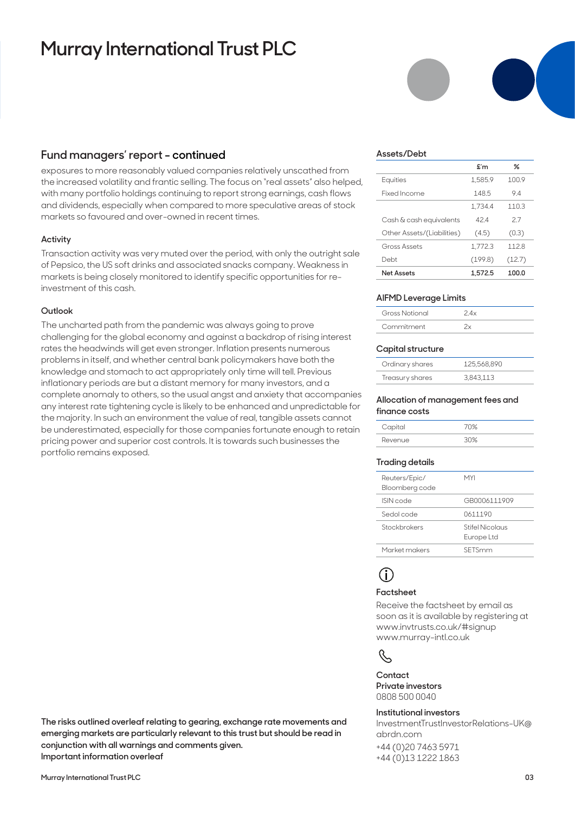## **Murray International Trust PLC**

### **Fund managers' report - continued**

exposures to more reasonably valued companies relatively unscathed from the increased volatility and frantic selling. The focus on "real assets" also helped, with many portfolio holdings continuing to report strong earnings, cash flows and dividends, especially when compared to more speculative areas of stock markets so favoured and over-owned in recent times.

### **Activity**

Transaction activity was very muted over the period, with only the outright sale of Pepsico, the US soft drinks and associated snacks company. Weakness in markets is being closely monitored to identify specific opportunities for reinvestment of this cash.

### **Outlook**

The uncharted path from the pandemic was always going to prove challenging for the global economy and against a backdrop of rising interest rates the headwinds will get even stronger. Inflation presents numerous problems in itself, and whether central bank policymakers have both the knowledge and stomach to act appropriately only time will tell. Previous inflationary periods are but a distant memory for many investors, and a complete anomaly to others, so the usual angst and anxiety that accompanies any interest rate tightening cycle is likely to be enhanced and unpredictable for the majority. In such an environment the value of real, tangible assets cannot be underestimated, especially for those companies fortunate enough to retain pricing power and superior cost controls. It is towards such businesses the portfolio remains exposed.

**The risks outlined overleaf relating to gearing, exchange rate movements and emerging markets are particularly relevant to this trust but should be read in** 

**conjunction with all warnings and comments given. Important information overleaf**



### **Assets/Debt**

|                            | $f{f}$  | ℅      |
|----------------------------|---------|--------|
| Equities                   | 1.585.9 | 1009   |
| Fixed Income               | 148.5   | 94     |
|                            | 1.734.4 | 110.3  |
| Cash & cash equivalents    | 424     | 27     |
| Other Assets/(Liabilities) | (4.5)   | (0.3)  |
| Gross Assets               | 1.772.3 | 1128   |
| Debt                       | (199.8) | (12.7) |
| <b>Net Assets</b>          | 1.572.5 | 100.0  |

### **AIFMD Leverage Limits**

| Gross Notional |  |
|----------------|--|
| Commitment     |  |

### **Capital structure**

| Ordinary shares | 125.568.890 |
|-----------------|-------------|
| Treasury shares | 3,843,113   |

#### **Allocation of management fees and finance costs**

| Capital | 7N%  |
|---------|------|
| Revenue | שרור |

### **Trading details**

| Reuters/Epic/<br>Bloomberg code | MYI                           |
|---------------------------------|-------------------------------|
| ISIN code                       | GB0006111909                  |
| Sedol code                      | 0611190                       |
| Stockbrokers                    | Stifel Nicolaus<br>Europe Ltd |
| Market makers                   | SETSmm                        |
|                                 |                               |

## **i**

### **Factsheet**

Receive the factsheet by email as soon as it is available by registering at www.invtrusts.co.uk/#signup www.murray-intl.co.uk



**Contact Private investors**  0808 500 0040

### **Institutional investors**

InvestmentTrustInvestorRelations-UK@ abrdn.com

+44 (0)20 7463 5971 +44 (0)13 1222 1863